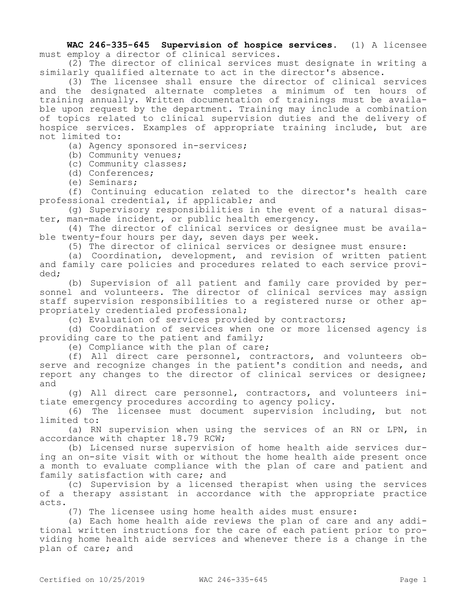**WAC 246-335-645 Supervision of hospice services.** (1) A licensee must employ a director of clinical services.

(2) The director of clinical services must designate in writing a similarly qualified alternate to act in the director's absence.

(3) The licensee shall ensure the director of clinical services and the designated alternate completes a minimum of ten hours of training annually. Written documentation of trainings must be available upon request by the department. Training may include a combination of topics related to clinical supervision duties and the delivery of hospice services. Examples of appropriate training include, but are not limited to:

(a) Agency sponsored in-services;

(b) Community venues;

(c) Community classes;

(d) Conferences;

(e) Seminars;

(f) Continuing education related to the director's health care professional credential, if applicable; and

(g) Supervisory responsibilities in the event of a natural disaster, man-made incident, or public health emergency.

(4) The director of clinical services or designee must be available twenty-four hours per day, seven days per week.

(5) The director of clinical services or designee must ensure:

(a) Coordination, development, and revision of written patient and family care policies and procedures related to each service provided;

(b) Supervision of all patient and family care provided by personnel and volunteers. The director of clinical services may assign staff supervision responsibilities to a registered nurse or other appropriately credentialed professional;

(c) Evaluation of services provided by contractors;

(d) Coordination of services when one or more licensed agency is providing care to the patient and family;

(e) Compliance with the plan of care;

(f) All direct care personnel, contractors, and volunteers observe and recognize changes in the patient's condition and needs, and report any changes to the director of clinical services or designee; and

(g) All direct care personnel, contractors, and volunteers initiate emergency procedures according to agency policy.

(6) The licensee must document supervision including, but not limited to:

(a) RN supervision when using the services of an RN or LPN, in accordance with chapter 18.79 RCW;

(b) Licensed nurse supervision of home health aide services during an on-site visit with or without the home health aide present once a month to evaluate compliance with the plan of care and patient and family satisfaction with care; and

(c) Supervision by a licensed therapist when using the services of a therapy assistant in accordance with the appropriate practice acts.

(7) The licensee using home health aides must ensure:

(a) Each home health aide reviews the plan of care and any additional written instructions for the care of each patient prior to providing home health aide services and whenever there is a change in the plan of care; and